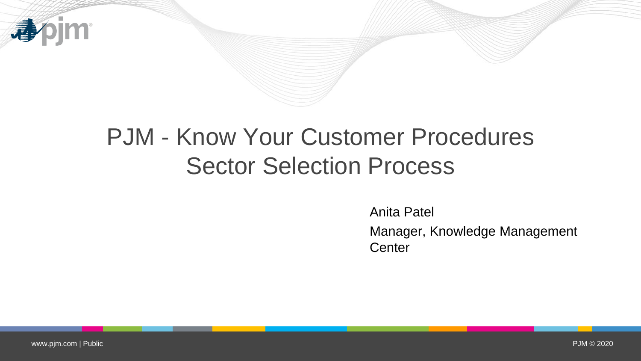

# PJM - Know Your Customer Procedures Sector Selection Process

Anita Patel

Manager, Knowledge Management **Center**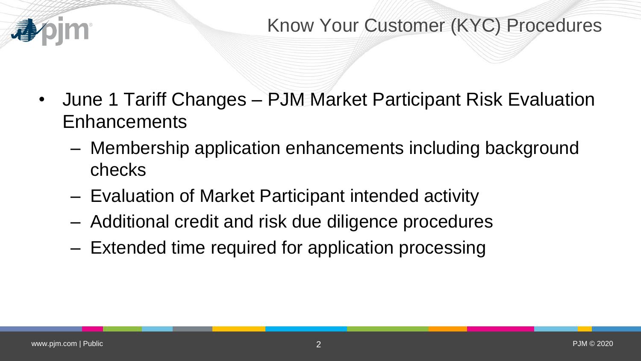

- June 1 Tariff Changes PJM Market Participant Risk Evaluation Enhancements
	- Membership application enhancements including background checks
	- Evaluation of Market Participant intended activity
	- Additional credit and risk due diligence procedures
	- Extended time required for application processing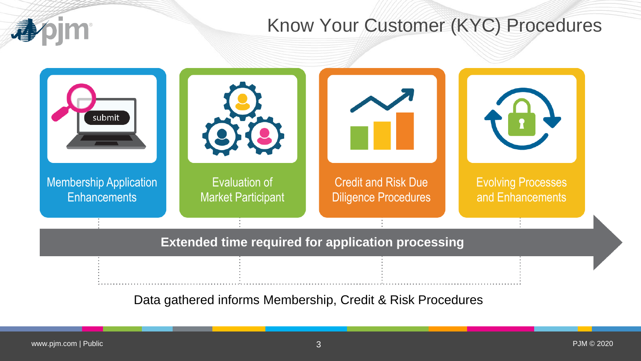## Know Your Customer (KYC) Procedures

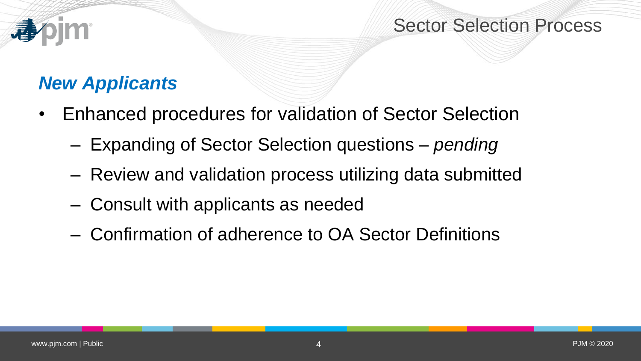### Sector Selection Process

# *New Applicants*

- Enhanced procedures for validation of Sector Selection
	- Expanding of Sector Selection questions *pending*
	- Review and validation process utilizing data submitted
	- Consult with applicants as needed
	- Confirmation of adherence to OA Sector Definitions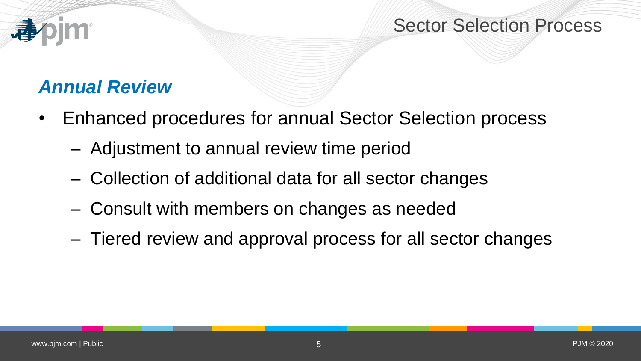### Sector Selection Process

# *Annual Review*

- Enhanced procedures for annual Sector Selection process
	- Adjustment to annual review time period
	- Collection of additional data for all sector changes
	- Consult with members on changes as needed
	- Tiered review and approval process for all sector changes